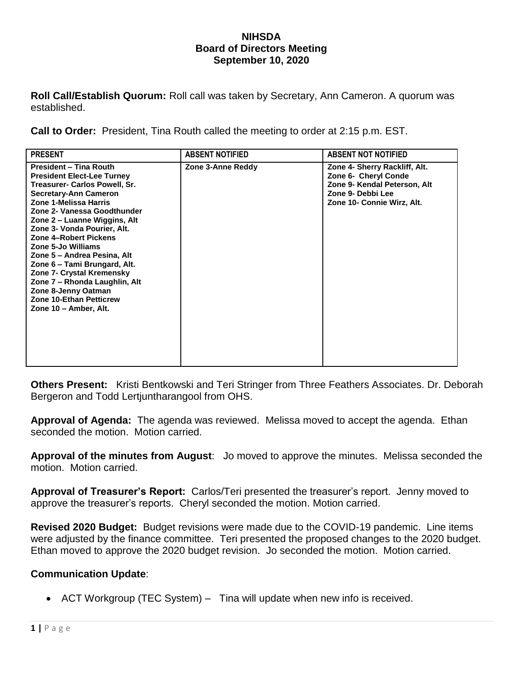#### **NIHSDA Board of Directors Meeting September 10, 2020**

**Roll Call/Establish Quorum:** Roll call was taken by Secretary, Ann Cameron. A quorum was established.

**Call to Order:** President, Tina Routh called the meeting to order at 2:15 p.m. EST.

| <b>PRESENT</b>                                                                                                                                                                                                                                                                                                                                                                                                                                                                                                                  | <b>ABSENT NOTIFIED</b> | <b>ABSENT NOT NOTIFIED</b>                                                                                                               |
|---------------------------------------------------------------------------------------------------------------------------------------------------------------------------------------------------------------------------------------------------------------------------------------------------------------------------------------------------------------------------------------------------------------------------------------------------------------------------------------------------------------------------------|------------------------|------------------------------------------------------------------------------------------------------------------------------------------|
| <b>President - Tina Routh</b><br><b>President Elect-Lee Turney</b><br>Treasurer- Carlos Powell, Sr.<br><b>Secretary-Ann Cameron</b><br>Zone 1-Melissa Harris<br>Zone 2- Vanessa Goodthunder<br>Zone 2 – Luanne Wiggins, Alt<br>Zone 3- Vonda Pourier, Alt.<br><b>Zone 4-Robert Pickens</b><br>Zone 5-Jo Williams<br>Zone 5 - Andrea Pesina, Alt<br>Zone 6 - Tami Brungard, Alt.<br>Zone 7- Crystal Kremensky<br>Zone 7 - Rhonda Laughlin, Alt<br>Zone 8-Jenny Oatman<br><b>Zone 10-Ethan Petticrew</b><br>Zone 10 - Amber, Alt. | Zone 3-Anne Reddy      | Zone 4- Sherry Rackliff, Alt.<br>Zone 6- Cheryl Conde<br>Zone 9- Kendal Peterson, Alt<br>Zone 9- Debbi Lee<br>Zone 10- Connie Wirz, Alt. |

**Others Present:** Kristi Bentkowski and Teri Stringer from Three Feathers Associates. Dr. Deborah Bergeron and Todd Lertjuntharangool from OHS.

**Approval of Agenda:** The agenda was reviewed. Melissa moved to accept the agenda. Ethan seconded the motion. Motion carried.

**Approval of the minutes from August**: Jo moved to approve the minutes. Melissa seconded the motion. Motion carried.

**Approval of Treasurer's Report:** Carlos/Teri presented the treasurer's report. Jenny moved to approve the treasurer's reports. Cheryl seconded the motion. Motion carried.

**Revised 2020 Budget:** Budget revisions were made due to the COVID-19 pandemic. Line items were adjusted by the finance committee. Teri presented the proposed changes to the 2020 budget. Ethan moved to approve the 2020 budget revision. Jo seconded the motion. Motion carried.

### **Communication Update**:

• ACT Workgroup (TEC System) – Tina will update when new info is received.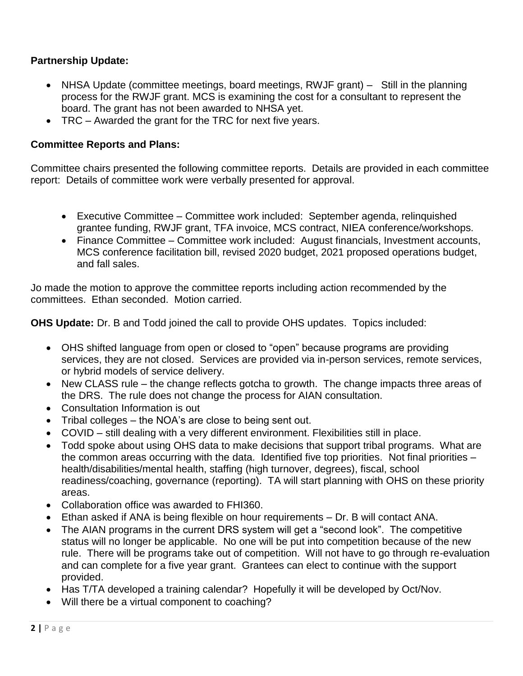# **Partnership Update:**

- NHSA Update (committee meetings, board meetings, RWJF grant) Still in the planning process for the RWJF grant. MCS is examining the cost for a consultant to represent the board. The grant has not been awarded to NHSA yet.
- TRC Awarded the grant for the TRC for next five years.

### **Committee Reports and Plans:**

Committee chairs presented the following committee reports. Details are provided in each committee report: Details of committee work were verbally presented for approval.

- Executive Committee Committee work included: September agenda, relinquished grantee funding, RWJF grant, TFA invoice, MCS contract, NIEA conference/workshops.
- Finance Committee Committee work included: August financials, Investment accounts, MCS conference facilitation bill, revised 2020 budget, 2021 proposed operations budget, and fall sales.

Jo made the motion to approve the committee reports including action recommended by the committees. Ethan seconded. Motion carried.

**OHS Update:** Dr. B and Todd joined the call to provide OHS updates. Topics included:

- OHS shifted language from open or closed to "open" because programs are providing services, they are not closed. Services are provided via in-person services, remote services, or hybrid models of service delivery.
- New CLASS rule the change reflects gotcha to growth. The change impacts three areas of the DRS. The rule does not change the process for AIAN consultation.
- Consultation Information is out
- Tribal colleges the NOA's are close to being sent out.
- COVID still dealing with a very different environment. Flexibilities still in place.
- Todd spoke about using OHS data to make decisions that support tribal programs. What are the common areas occurring with the data. Identified five top priorities. Not final priorities – health/disabilities/mental health, staffing (high turnover, degrees), fiscal, school readiness/coaching, governance (reporting). TA will start planning with OHS on these priority areas.
- Collaboration office was awarded to FHI360.
- Ethan asked if ANA is being flexible on hour requirements Dr. B will contact ANA.
- The AIAN programs in the current DRS system will get a "second look". The competitive status will no longer be applicable. No one will be put into competition because of the new rule. There will be programs take out of competition. Will not have to go through re-evaluation and can complete for a five year grant. Grantees can elect to continue with the support provided.
- Has T/TA developed a training calendar? Hopefully it will be developed by Oct/Nov.
- Will there be a virtual component to coaching?